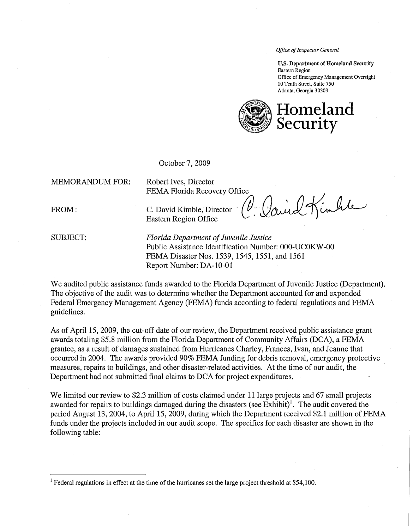Office of Inspector General

U.S. Department of Homeland Sceurity Eastern Region Office of Emergency Management Oversight 10 Tenth Street, Suite 7S0 Atlanta, Georgia 30309



October 7, 2009

MEMORANDUM FOR: Robert Ives, Director

FEMA Florida Recovery Office

FROM: C. David Kimble, Director  $(V - \mathcal{V})$ und  $\mathcal{V}$ Eastern Region Office  $\left( \begin{array}{ccc} 1 & 1 \\ 1 & 1 \end{array} \right)$ 

SUBJECT: Florida Department of Juvenile Justice Public Assistance Identification Number: OOO-UCOKW -00 FEMA Disaster Nos. 1539, 1545, 1551, and 1561 Report Number: DA-1O-01

We audited public assistance funds awarded to the Florida Department of Juvenile Justice (Department). The objective of the audit was to determine whether the Department accounted for and expended Federal Emergency Management Agency (FEMA) funds according to federal regulations and FEMA guidelines.

As of April 15, 2009, the cut-off date of our review, the Department received public assistance grant awards totaling \$5.8 million from the Florida Department of Community Affairs (DCA), a FEMA grantee, as a result of damages sustained from Hunicanes Charley, Frances, Ivan, and Jeanne that occurred in 2004. The awards provided 90% FEMA funding for debris removal, emergency protective measures, repairs to buildings, and other disaster-related activities. At the time of our audit, the Department had not submitted final claims to DCA for project expenditures.

We limited our review to \$2.3 million of costs claimed under 11 large projects and 67 small projects awarded for repairs to buildings damaged during the disasters (see Exhibit)<sup>1</sup>. The audit covered the period August 13, 2004, to April 15, 2009, during which the Department received \$2.1 milion of FEMA funds under the projects included in our audit seope. The specifics for each disaster are shown in the following table:

<span id="page-0-0"></span><sup>&</sup>lt;sup>1</sup> Federal regulations in effect at the time of the hurricanes set the large project threshold at \$54,100.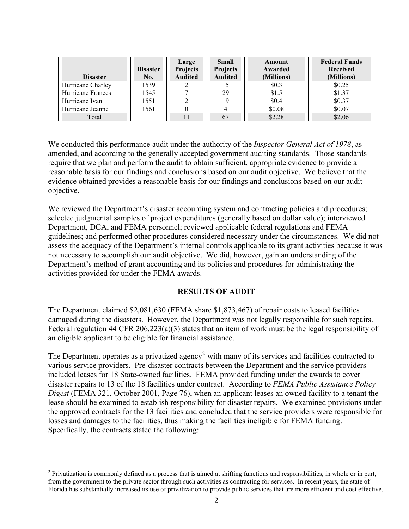| <b>Disaster</b>   | <b>Disaster</b><br>No. | Large<br><b>Projects</b><br><b>Audited</b> | <b>Small</b><br><b>Projects</b><br><b>Audited</b> | Amount<br>Awarded<br>(Millions) | <b>Federal Funds</b><br><b>Received</b><br>(Millions) |
|-------------------|------------------------|--------------------------------------------|---------------------------------------------------|---------------------------------|-------------------------------------------------------|
| Hurricane Charley | 1539                   |                                            |                                                   | \$0.3                           | \$0.25                                                |
| Hurricane Frances | 1545                   |                                            | 29                                                | \$1.5                           | \$1.37                                                |
| Hurricane Ivan    | 1551                   |                                            | 19                                                | \$0.4                           | \$0.37                                                |
| Hurricane Jeanne  | 1561                   |                                            |                                                   | \$0.08                          | \$0.07                                                |
| Total             |                        |                                            | 67                                                | \$2.28                          | \$2.06                                                |

We conducted this performance audit under the authority of the *Inspector General Act of 1978*, as amended, and according to the generally accepted government auditing standards. Those standards require that we plan and perform the audit to obtain sufficient, appropriate evidence to provide a reasonable basis for our findings and conclusions based on our audit objective. We believe that the evidence obtained provides a reasonable basis for our findings and conclusions based on our audit objective.

We reviewed the Department's disaster accounting system and contracting policies and procedures; selected judgmental samples of project expenditures (generally based on dollar value); interviewed Department, DCA, and FEMA personnel; reviewed applicable federal regulations and FEMA guidelines; and performed other procedures considered necessary under the circumstances. We did not assess the adequacy of the Department's internal controls applicable to its grant activities because it was not necessary to accomplish our audit objective. We did, however, gain an understanding of the Department's method of grant accounting and its policies and procedures for administrating the activities provided for under the FEMA awards.

#### **RESULTS OF AUDIT**

The Department claimed \$2,081,630 (FEMA share \$1,873,467) of repair costs to leased facilities damaged during the disasters. However, the Department was not legally responsible for such repairs. Federal regulation 44 CFR 206.223(a)(3) states that an item of work must be the legal responsibility of an eligible applicant to be eligible for financial assistance.

The Department operates as a privatized agency<sup>[2](#page-1-0)</sup> with many of its services and facilities contracted to various service providers. Pre-disaster contracts between the Department and the service providers included leases for 18 State-owned facilities. FEMA provided funding under the awards to cover disaster repairs to 13 of the 18 facilities under contract. According to *FEMA Public Assistance Policy Digest* (FEMA 321*,* October 2001, Page 76), when an applicant leases an owned facility to a tenant the lease should be examined to establish responsibility for disaster repairs. We examined provisions under the approved contracts for the 13 facilities and concluded that the service providers were responsible for losses and damages to the facilities, thus making the facilities ineligible for FEMA funding. Specifically, the contracts stated the following:

 $\overline{a}$ 

<span id="page-1-0"></span> $2$  Privatization is commonly defined as a process that is aimed at shifting functions and responsibilities, in whole or in part, from the government to the private sector through such activities as contracting for services. In recent years, the state of Florida has substantially increased its use of privatization to provide public services that are more efficient and cost effective.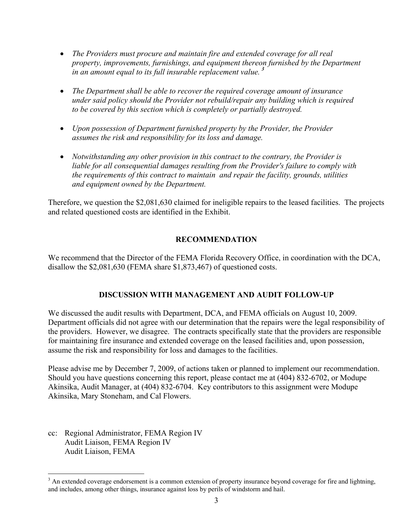- *in an amount equal to its full insurable replacement value. [3](#page-2-0)*  • The Providers must procure and maintain fire and extended coverage for all real *property, improvements, furnishings, and equipment thereon furnished by the Department*
- The Department shall be able to recover the required coverage amount of insurance *under said policy should the Provider not rebuild/repair any building which is required to be covered by this section which is completely or partially destroyed.*
- • *Upon possession of Department furnished property by the Provider, the Provider assumes the risk and responsibility for its loss and damage.*
- *Notwithstanding any other provision in this contract to the contrary, the Provider is liable for all consequential damages resulting from the Provider's failure to comply with the requirements of this contract to maintain and repair the facility, grounds, utilities and equipment owned by the Department.*

Therefore, we question the \$2,081,630 claimed for ineligible repairs to the leased facilities. The projects and related questioned costs are identified in the Exhibit.

## **RECOMMENDATION**

We recommend that the Director of the FEMA Florida Recovery Office, in coordination with the DCA, disallow the \$2,081,630 (FEMA share \$1,873,467) of questioned costs.

### **DISCUSSION WITH MANAGEMENT AND AUDIT FOLLOW-UP**

We discussed the audit results with Department, DCA, and FEMA officials on August 10, 2009. Department officials did not agree with our determination that the repairs were the legal responsibility of the providers. However, we disagree. The contracts specifically state that the providers are responsible for maintaining fire insurance and extended coverage on the leased facilities and, upon possession, assume the risk and responsibility for loss and damages to the facilities.

Please advise me by December 7, 2009, of actions taken or planned to implement our recommendation. Should you have questions concerning this report, please contact me at (404) 832-6702, or Modupe Akinsika, Audit Manager, at (404) 832-6704. Key contributors to this assignment were Modupe Akinsika, Mary Stoneham, and Cal Flowers.

cc: Regional Administrator, FEMA Region IV Audit Liaison, FEMA Region IV Audit Liaison, FEMA

1

<span id="page-2-0"></span> and includes, among other things, insurance against loss by perils of windstorm and hail.  $3$  An extended coverage endorsement is a common extension of property insurance beyond coverage for fire and lightning,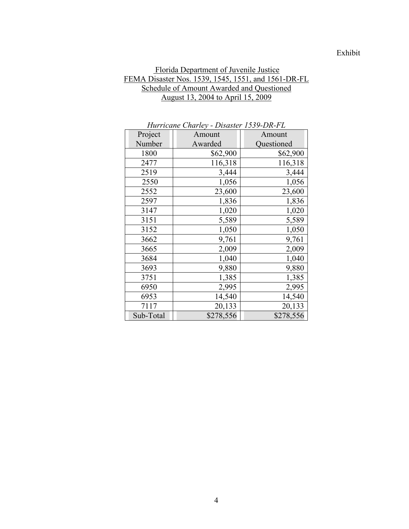## Exhibit

### Florida Department of Juvenile Justice FEMA Disaster Nos. 1539, 1545, 1551, and 1561-DR-FL Schedule of Amount Awarded and Questioned August 13, 2004 to April 15, 2009

| Turricune Charley - Disaster 1999-DR-PL |           |            |  |  |
|-----------------------------------------|-----------|------------|--|--|
| Project                                 | Amount    | Amount     |  |  |
| Number                                  | Awarded   | Questioned |  |  |
| 1800                                    | \$62,900  | \$62,900   |  |  |
| 2477                                    | 116,318   | 116,318    |  |  |
| 2519                                    | 3,444     | 3,444      |  |  |
| 2550                                    | 1,056     | 1,056      |  |  |
| 2552                                    | 23,600    | 23,600     |  |  |
| 2597                                    | 1,836     | 1,836      |  |  |
| 3147                                    | 1,020     | 1,020      |  |  |
| 3151                                    | 5,589     | 5,589      |  |  |
| 3152                                    | 1,050     | 1,050      |  |  |
| 3662                                    | 9,761     | 9,761      |  |  |
| 3665                                    | 2,009     | 2,009      |  |  |
| 3684                                    | 1,040     | 1,040      |  |  |
| 3693                                    | 9,880     | 9,880      |  |  |
| 3751                                    | 1,385     | 1,385      |  |  |
| 6950                                    | 2,995     | 2,995      |  |  |
| 6953                                    | 14,540    | 14,540     |  |  |
| 7117                                    | 20,133    | 20,133     |  |  |
| Sub-Total                               | \$278,556 | \$278,556  |  |  |

*Hurricane Charley - Disaster 1539-DR-FL*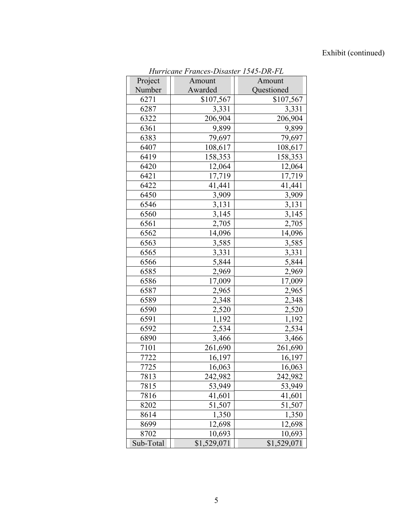# Exhibit (continued)

| Hurricane Frances-Disaster 1545-DR-FL |             |             |  |
|---------------------------------------|-------------|-------------|--|
| Project                               | Amount      | Amount      |  |
| Number                                | Awarded     | Questioned  |  |
| 6271                                  | \$107,567   | \$107,567   |  |
| 6287                                  | 3,331       | 3,331       |  |
| 6322                                  | 206,904     | 206,904     |  |
| 6361                                  | 9,899       | 9,899       |  |
| 6383                                  | 79,697      | 79,697      |  |
| 6407                                  | 108,617     | 108,617     |  |
| 6419                                  | 158,353     | 158,353     |  |
| 6420                                  | 12,064      | 12,064      |  |
| 6421                                  | 17,719      | 17,719      |  |
| 6422                                  | 41,441      | 41,441      |  |
| 6450                                  | 3,909       | 3,909       |  |
| 6546                                  | 3,131       | 3,131       |  |
| 6560                                  | 3,145       | 3,145       |  |
| 6561                                  | 2,705       | 2,705       |  |
| 6562                                  | 14,096      | 14,096      |  |
| 6563                                  | 3,585       | 3,585       |  |
| 6565                                  | 3,331       | 3,331       |  |
| 6566                                  | 5,844       | 5,844       |  |
| 6585                                  | 2,969       | 2,969       |  |
| 6586                                  | 17,009      | 17,009      |  |
| 6587                                  | 2,965       | 2,965       |  |
| 6589                                  | 2,348       | 2,348       |  |
| 6590                                  | 2,520       | 2,520       |  |
| 6591                                  | 1,192       | 1,192       |  |
| 6592                                  | 2,534       | 2,534       |  |
| 6890                                  | 3,466       | 3,466       |  |
| 7101                                  | 261,690     | 261,690     |  |
| 7722                                  | 16,197      | 16,197      |  |
| 7725                                  | 16,063      | 16,063      |  |
| 7813                                  | 242,982     | 242,982     |  |
| 7815                                  | 53,949      | 53,949      |  |
| 7816                                  | 41,601      | 41,601      |  |
| 8202                                  | 51,507      | 51,507      |  |
| 8614                                  | 1,350       | 1,350       |  |
| 8699                                  | 12,698      | 12,698      |  |
| 8702                                  | 10,693      | 10,693      |  |
| Sub-Total                             | \$1,529,071 | \$1,529,071 |  |